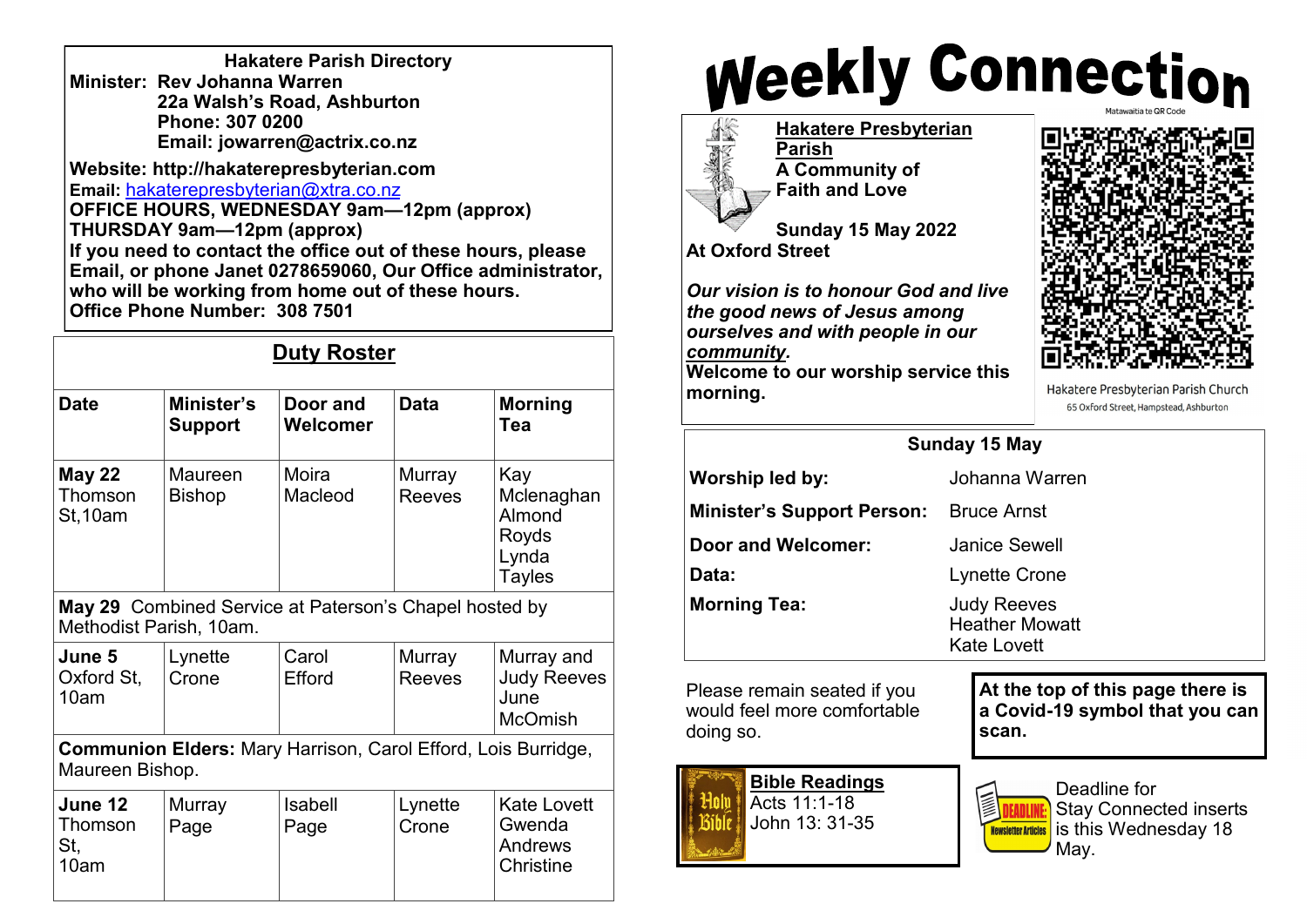| <b>Hakatere Parish Directory</b> |
|----------------------------------|
| Minister: Rev Johanna Warren     |
| 22a Walsh's Road, Ashburton      |
| Phone: 307 0200                  |
| Email: jowarren@actrix.co.nz     |

**Website: http://hakaterepresbyterian.com Email:** [hakaterepresbyterian@xtra.co.nz](mailto:hakaterepresbyterian@xtra.co.nz) **OFFICE HOURS, WEDNESDAY 9am—12pm (approx) THURSDAY 9am—12pm (approx) If you need to contact the office out of these hours, please Email, or phone Janet 0278659060, Our Office administrator,**  who will be working from home out of these hours.  $\begin{array}{|c|c|} \hline \end{array}$ **Office Phone Number: 308 7501**

## **Duty Roster**

| <b>Date</b>                                                                       | Minister's<br><b>Support</b> | Door and<br>Welcomer | <b>Data</b>             | <b>Morning</b><br>Tea                                          |  |  |
|-----------------------------------------------------------------------------------|------------------------------|----------------------|-------------------------|----------------------------------------------------------------|--|--|
| <b>May 22</b><br>Thomson<br><b>St, 10am</b>                                       | Maureen<br><b>Bishop</b>     | Moira<br>Macleod     | Murray<br><b>Reeves</b> | Kay<br>Mclenaghan<br>Almond<br>Royds<br>Lynda<br><b>Tayles</b> |  |  |
| May 29 Combined Service at Paterson's Chapel hosted by<br>Methodist Parish, 10am. |                              |                      |                         |                                                                |  |  |
| June 5<br>Oxford St,<br>10am                                                      | Lynette<br>Crone             | Carol<br>Efford      | Murray<br><b>Reeves</b> | Murray and<br><b>Judy Reeves</b><br>June<br><b>McOmish</b>     |  |  |
| Communion Elders: Mary Harrison, Carol Efford, Lois Burridge,<br>Maureen Bishop.  |                              |                      |                         |                                                                |  |  |
| June 12<br>Thomson<br>St,<br>10am                                                 | Murray<br>Page               | Isabell<br>Page      | Lynette<br>Crone        | <b>Kate Lovett</b><br>Gwenda<br>Andrews<br>Christine           |  |  |

## **Weekly Connection**

**Hakatere Presbyterian Parish A Community of Faith and Love**

**Sunday 15 May 2022 At Oxford Street**

*Our vision is to honour God and live the good news of Jesus among ourselves and with people in our community.* 

**Welcome to our worship service this morning.** 



Hakatere Presbyterian Parish Church 65 Oxford Street, Hampstead, Ashburton

| Sunday 15 May                                 |                                                                   |  |  |  |
|-----------------------------------------------|-------------------------------------------------------------------|--|--|--|
| Worship led by:                               | Johanna Warren                                                    |  |  |  |
| <b>Minister's Support Person:</b> Bruce Arnst |                                                                   |  |  |  |
| Door and Welcomer:                            | Janice Sewell                                                     |  |  |  |
| Data:                                         | Lynette Crone                                                     |  |  |  |
| <b>Morning Tea:</b>                           | <b>Judy Reeves</b><br><b>Heather Mowatt</b><br><b>Kate Lovett</b> |  |  |  |
| Please remain seated if you                   | At the top of this page there i                                   |  |  |  |

Please remain seated if you would feel more comfortable doing so.

> **Bible Readings** Acts 11:1-18 John 13: 31-35

**At the top of this page there is a Covid-19 symbol that you can scan.**



Deadline for Stay Connected inserts is this Wednesday 18 May.